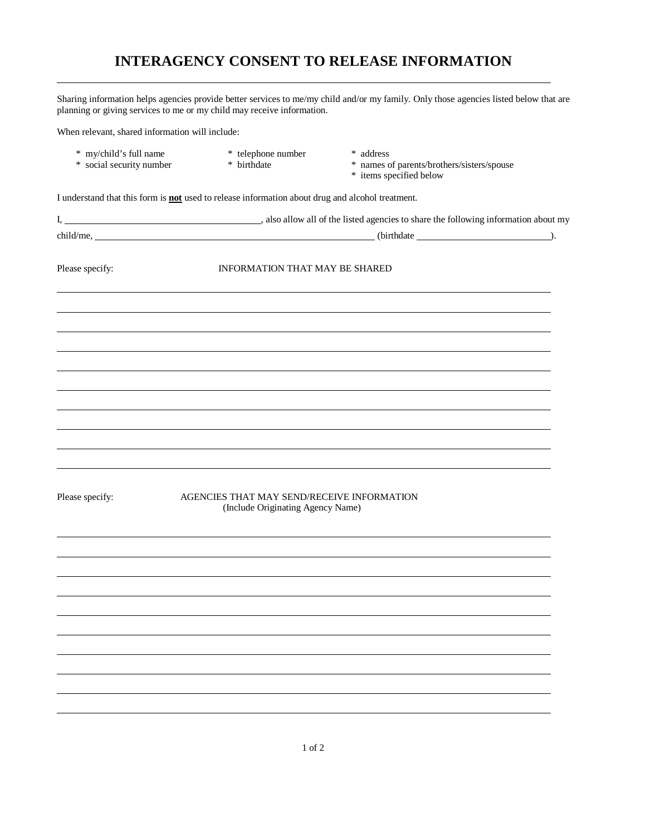## **INTERAGENCY CONSENT TO RELEASE INFORMATION**

Sharing information helps agencies provide better services to me/my child and/or my family. Only those agencies listed below that are planning or giving services to me or my child may receive information.

When relevant, shared information will include:

\* my/child's full name \* telephone number \* address<br>\* social security number \* birthdate \* names c

 $\overline{a}$ 

- 
- 

\* social security number \* birthdate \* names of parents/brothers/sisters/spouse

\* items specified below

I understand that this form is **not** used to release information about drug and alcohol treatment.

| Please specify: | INFORMATION THAT MAY BE SHARED                                                  |
|-----------------|---------------------------------------------------------------------------------|
|                 |                                                                                 |
|                 |                                                                                 |
|                 |                                                                                 |
|                 |                                                                                 |
|                 |                                                                                 |
|                 |                                                                                 |
| Please specify: | AGENCIES THAT MAY SEND/RECEIVE INFORMATION<br>(Include Originating Agency Name) |
|                 |                                                                                 |
|                 |                                                                                 |
|                 |                                                                                 |
|                 |                                                                                 |
|                 |                                                                                 |
|                 |                                                                                 |